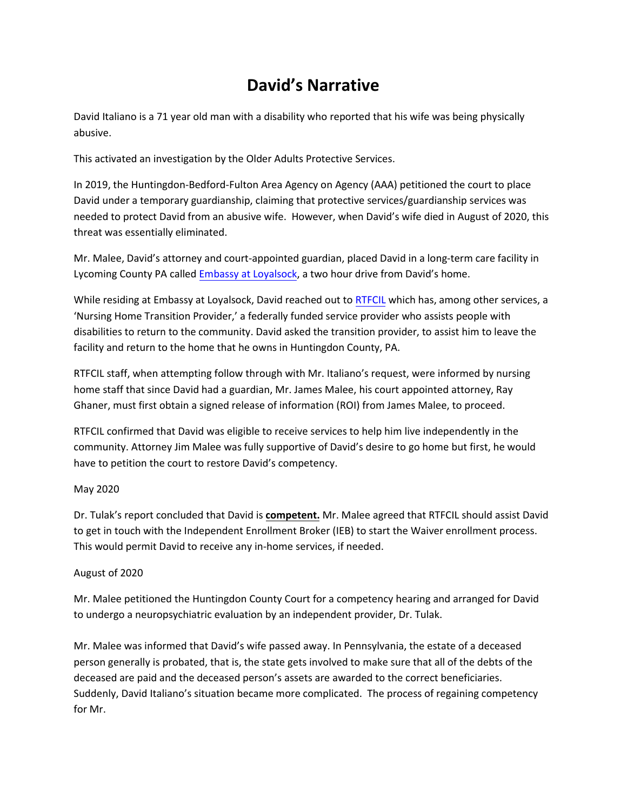# **David's Narrative**

David Italiano is a 71 year old man with a disability who reported that his wife was being physically abusive.

This activated an investigation by the Older Adults Protective Services.

In 2019, the Huntingdon-Bedford-Fulton Area Agency on Agency (AAA) petitioned the court to place David under a temporary guardianship, claiming that protective services/guardianship services was needed to protect David from an abusive wife. However, when David's wife died in August of 2020, this threat was essentially eliminated.

Mr. Malee, David's attorney and court-appointed guardian, placed David in a long-term care facility in Lycoming County PA called [Embassy at Loyalsock](https://embassyhealthcare.net/embassy-location/embassy-of-loyalsock/), a two hour drive from David's home.

While residing at Embassy at Loyalsock, David reached out to [RTFCIL](https://www.cilncp.org/about) which has, among other services, a 'Nursing Home Transition Provider,' a federally funded service provider who assists people with disabilities to return to the community. David asked the transition provider, to assist him to leave the facility and return to the home that he owns in Huntingdon County, PA.

RTFCIL staff, when attempting follow through with Mr. Italiano's request, were informed by nursing home staff that since David had a guardian, Mr. James Malee, his court appointed attorney, Ray Ghaner, must first obtain a signed release of information (ROI) from James Malee, to proceed.

RTFCIL confirmed that David was eligible to receive services to help him live independently in the community. Attorney Jim Malee was fully supportive of David's desire to go home but first, he would have to petition the court to restore David's competency.

## May 2020

Dr. Tulak's report concluded that David is **competent.** Mr. Malee agreed that RTFCIL should assist David to get in touch with the Independent Enrollment Broker (IEB) to start the Waiver enrollment process. This would permit David to receive any in-home services, if needed.

## August of 2020

Mr. Malee petitioned the Huntingdon County Court for a competency hearing and arranged for David to undergo a neuropsychiatric evaluation by an independent provider, Dr. Tulak.

Mr. Malee was informed that David's wife passed away. In Pennsylvania, the estate of a deceased person generally is probated, that is, the state gets involved to make sure that all of the debts of the deceased are paid and the deceased person's assets are awarded to the correct beneficiaries. Suddenly, David Italiano's situation became more complicated. The process of regaining competency for Mr.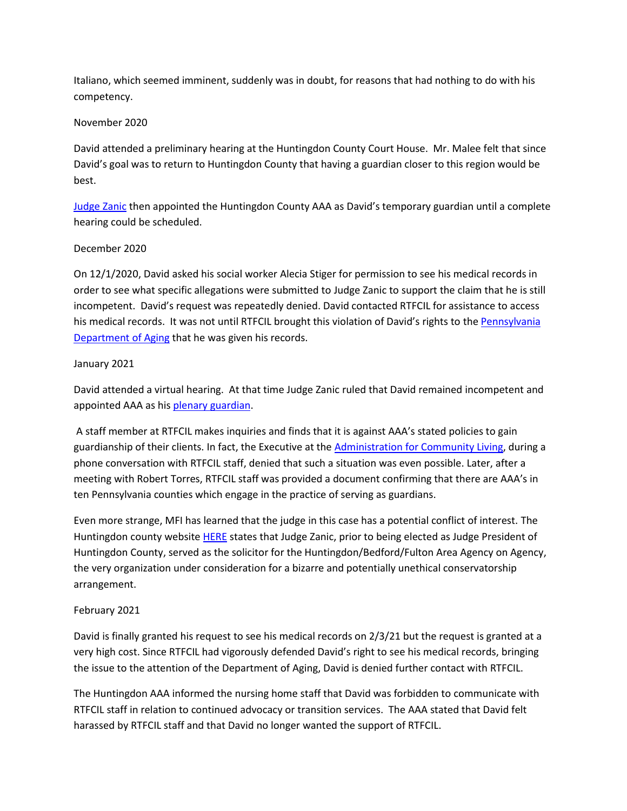Italiano, which seemed imminent, suddenly was in doubt, for reasons that had nothing to do with his competency.

#### November 2020

David attended a preliminary hearing at the Huntingdon County Court House. Mr. Malee felt that since David's goal was to return to Huntingdon County that having a guardian closer to this region would be best.

[Judge Zanic](https://huntingdoncountycourt.net/president-judge/) then appointed the Huntingdon County AAA as David's temporary guardian until a complete hearing could be scheduled.

### December 2020

On 12/1/2020, David asked his social worker Alecia Stiger for permission to see his medical records in order to see what specific allegations were submitted to Judge Zanic to support the claim that he is still incompetent. David's request was repeatedly denied. David contacted RTFCIL for assistance to access his medical records. It was not until RTFCIL brought this violation of David's rights to th[e Pennsylvania](https://www.aging.pa.gov/Pages/default.aspx)  [Department of Aging](https://www.aging.pa.gov/Pages/default.aspx) that he was given his records.

#### January 2021

David attended a virtual hearing. At that time Judge Zanic ruled that David remained incompetent and appointed AAA as his [plenary guardian.](https://mindfreedom.org/wp-content/uploads/2021/08/Plenary-Guardianship-Defined.pdf)

A staff member at RTFCIL makes inquiries and finds that it is against AAA's stated policies to gain guardianship of their clients. In fact, the Executive at the [Administration for Community Living,](https://acl.gov/) during a phone conversation with RTFCIL staff, denied that such a situation was even possible. Later, after a meeting with Robert Torres, RTFCIL staff was provided a document confirming that there are AAA's in ten Pennsylvania counties which engage in the practice of serving as guardians.

Even more strange, MFI has learned that the judge in this case has a potential conflict of interest. The Huntingdon county website [HERE](https://huntingdoncountycourt.net/president-judge/) states that Judge Zanic, prior to being elected as Judge President of Huntingdon County, served as the solicitor for the Huntingdon/Bedford/Fulton Area Agency on Agency, the very organization under consideration for a bizarre and potentially unethical conservatorship arrangement.

## February 2021

David is finally granted his request to see his medical records on 2/3/21 but the request is granted at a very high cost. Since RTFCIL had vigorously defended David's right to see his medical records, bringing the issue to the attention of the Department of Aging, David is denied further contact with RTFCIL.

The Huntingdon AAA informed the nursing home staff that David was forbidden to communicate with RTFCIL staff in relation to continued advocacy or transition services. The AAA stated that David felt harassed by RTFCIL staff and that David no longer wanted the support of RTFCIL.